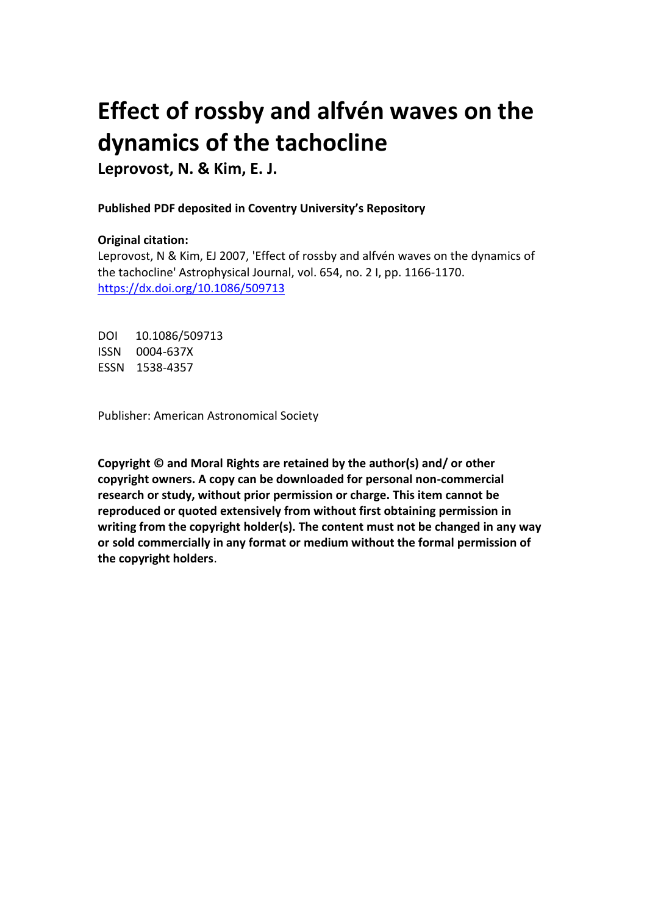# **Effect of rossby and alfvén waves on the dynamics of the tachocline**

**Leprovost, N. & Kim, E. J.**

## **Published PDF deposited in Coventry University's Repository**

## **Original citation:**

Leprovost, N & Kim, EJ 2007, 'Effect of rossby and alfvén waves on the dynamics of the tachocline' Astrophysical Journal, vol. 654, no. 2 I, pp. 1166-1170. https://dx.doi.org/10.1086/509713

DOI 10.1086/509713 ISSN 0004-637X ESSN 1538-4357

Publisher: American Astronomical Society

**Copyright © and Moral Rights are retained by the author(s) and/ or other copyright owners. A copy can be downloaded for personal non-commercial research or study, without prior permission or charge. This item cannot be reproduced or quoted extensively from without first obtaining permission in writing from the copyright holder(s). The content must not be changed in any way or sold commercially in any format or medium without the formal permission of the copyright holders**.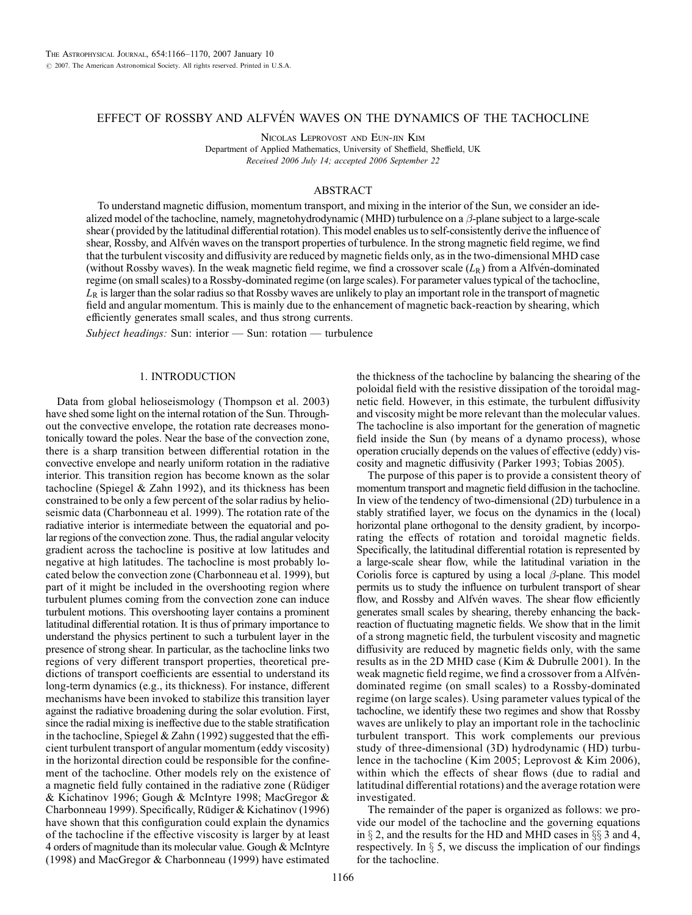### EFFECT OF ROSSBY AND ALFVÉN WAVES ON THE DYNAMICS OF THE TACHOCLINE

Nicolas Leprovost and Eun-jin Kim

Department of Applied Mathematics, University of Sheffield, Sheffield, UK Received 2006 July 14; accepted 2006 September 22

#### ABSTRACT

To understand magnetic diffusion, momentum transport, and mixing in the interior of the Sun, we consider an idealized model of the tachocline, namely, magnetohydrodynamic (MHD) turbulence on a  $\beta$ -plane subject to a large-scale shear (provided by the latitudinal differential rotation). This model enables us to self-consistently derive the influence of shear, Rossby, and Alfvén waves on the transport properties of turbulence. In the strong magnetic field regime, we find that the turbulent viscosity and diffusivity are reduced by magnetic fields only, as in the two-dimensional MHD case (without Rossby waves). In the weak magnetic field regime, we find a crossover scale  $(L_R)$  from a Alfvén-dominated regime (on small scales) to a Rossby-dominated regime (on large scales). For parameter values typical of the tachocline,  $L_R$  is larger than the solar radius so that Rossby waves are unlikely to play an important role in the transport of magnetic field and angular momentum. This is mainly due to the enhancement of magnetic back-reaction by shearing, which efficiently generates small scales, and thus strong currents.

Subject headings: Sun: interior - Sun: rotation - turbulence

#### 1. INTRODUCTION

Data from global helioseismology (Thompson et al. 2003) have shed some light on the internal rotation of the Sun. Throughout the convective envelope, the rotation rate decreases monotonically toward the poles. Near the base of the convection zone, there is a sharp transition between differential rotation in the convective envelope and nearly uniform rotation in the radiative interior. This transition region has become known as the solar tachocline (Spiegel & Zahn 1992), and its thickness has been constrained to be only a few percent of the solar radius by helioseismic data (Charbonneau et al. 1999). The rotation rate of the radiative interior is intermediate between the equatorial and polar regions of the convection zone. Thus, the radial angular velocity gradient across the tachocline is positive at low latitudes and negative at high latitudes. The tachocline is most probably located below the convection zone (Charbonneau et al. 1999), but part of it might be included in the overshooting region where turbulent plumes coming from the convection zone can induce turbulent motions. This overshooting layer contains a prominent latitudinal differential rotation. It is thus of primary importance to understand the physics pertinent to such a turbulent layer in the presence of strong shear. In particular, as the tachocline links two regions of very different transport properties, theoretical predictions of transport coefficients are essential to understand its long-term dynamics (e.g., its thickness). For instance, different mechanisms have been invoked to stabilize this transition layer against the radiative broadening during the solar evolution. First, since the radial mixing is ineffective due to the stable stratification in the tachocline, Spiegel & Zahn (1992) suggested that the efficient turbulent transport of angular momentum (eddy viscosity) in the horizontal direction could be responsible for the confinement of the tachocline. Other models rely on the existence of a magnetic field fully contained in the radiative zone (Rüdiger & Kichatinov 1996; Gough & McIntyre 1998; MacGregor & Charbonneau 1999). Specifically, Rüdiger & Kichatinov (1996) have shown that this configuration could explain the dynamics of the tachocline if the effective viscosity is larger by at least 4 orders of magnitude than its molecular value. Gough & McIntyre (1998) and MacGregor & Charbonneau (1999) have estimated

the thickness of the tachocline by balancing the shearing of the poloidal field with the resistive dissipation of the toroidal magnetic field. However, in this estimate, the turbulent diffusivity and viscosity might be more relevant than the molecular values. The tachocline is also important for the generation of magnetic field inside the Sun (by means of a dynamo process), whose operation crucially depends on the values of effective (eddy) viscosity and magnetic diffusivity (Parker 1993; Tobias 2005).

The purpose of this paper is to provide a consistent theory of momentum transport and magnetic field diffusion in the tachocline. In view of the tendency of two-dimensional (2D) turbulence in a stably stratified layer, we focus on the dynamics in the (local) horizontal plane orthogonal to the density gradient, by incorporating the effects of rotation and toroidal magnetic fields. Specifically, the latitudinal differential rotation is represented by a large-scale shear flow, while the latitudinal variation in the Coriolis force is captured by using a local  $\beta$ -plane. This model permits us to study the influence on turbulent transport of shear flow, and Rossby and Alfvén waves. The shear flow efficiently generates small scales by shearing, thereby enhancing the backreaction of fluctuating magnetic fields. We show that in the limit of a strong magnetic field, the turbulent viscosity and magnetic diffusivity are reduced by magnetic fields only, with the same results as in the 2D MHD case (Kim & Dubrulle 2001). In the weak magnetic field regime, we find a crossover from a Alfvéndominated regime (on small scales) to a Rossby-dominated regime (on large scales). Using parameter values typical of the tachocline, we identify these two regimes and show that Rossby waves are unlikely to play an important role in the tachoclinic turbulent transport. This work complements our previous study of three-dimensional (3D) hydrodynamic (HD) turbulence in the tachocline (Kim 2005; Leprovost & Kim 2006), within which the effects of shear flows (due to radial and latitudinal differential rotations) and the average rotation were investigated.

The remainder of the paper is organized as follows: we provide our model of the tachocline and the governing equations in  $\S$  2, and the results for the HD and MHD cases in  $\S$  3 and 4, respectively. In  $\S$  5, we discuss the implication of our findings for the tachocline.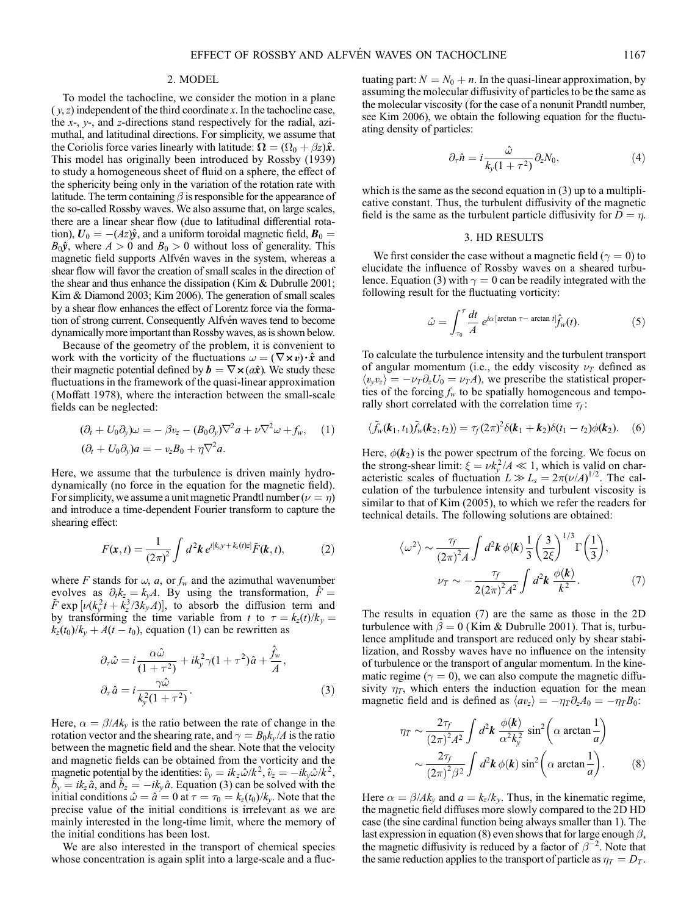#### 2. MODEL

To model the tachocline, we consider the motion in a plane  $(y, z)$  independent of the third coordinate x. In the tachocline case, the  $x$ -,  $y$ -, and  $z$ -directions stand respectively for the radial, azimuthal, and latitudinal directions. For simplicity, we assume that the Coriolis force varies linearly with latitude:  $\Omega = (\Omega_0 + \beta z)\hat{x}$ . This model has originally been introduced by Rossby (1939) to study a homogeneous sheet of fluid on a sphere, the effect of the sphericity being only in the variation of the rotation rate with latitude. The term containing  $\beta$  is responsible for the appearance of the so-called Rossby waves. We also assume that, on large scales, there are a linear shear flow (due to latitudinal differential rotation),  $U_0 = -(Az)\hat{y}$ , and a uniform toroidal magnetic field,  $B_0 =$  $B_0\hat{y}$ , where  $A > 0$  and  $B_0 > 0$  without loss of generality. This magnetic field supports Alfvén waves in the system, whereas a shear flow will favor the creation of small scales in the direction of the shear and thus enhance the dissipation (Kim & Dubrulle 2001; Kim & Diamond 2003; Kim 2006). The generation of small scales by a shear flow enhances the effect of Lorentz force via the formation of strong current. Consequently Alfvén waves tend to become dynamically more important than Rossby waves, as is shown below.

Because of the geometry of the problem, it is convenient to work with the vorticity of the fluctuations  $\omega = (\nabla \times v) \cdot \hat{x}$  and their magnetic potential defined by  $\mathbf{b} = \nabla \times (a\hat{x})$ . We study these fluctuations in the framework of the quasi-linear approximation (Moffatt 1978), where the interaction between the small-scale fields can be neglected:

$$
(\partial_t + U_0 \partial_y)\omega = -\beta v_z - (B_0 \partial_y)\nabla^2 a + \nu \nabla^2 \omega + f_w, \quad (1)
$$
  

$$
(\partial_t + U_0 \partial_y)a = -v_zB_0 + \eta \nabla^2 a.
$$

Here, we assume that the turbulence is driven mainly hydrodynamically (no force in the equation for the magnetic field). For simplicity, we assume a unit magnetic Prandtl number  $(\nu = \eta)$ and introduce a time-dependent Fourier transform to capture the shearing effect:

$$
F(\mathbf{x},t) = \frac{1}{(2\pi)^2} \int d^2\mathbf{k} \, e^{i[k_y y + k_z(t)z]} \tilde{F}(\mathbf{k},t),\tag{2}
$$

where F stands for  $\omega$ , a, or  $f_w$  and the azimuthal wavenumber evolves as  $\partial_t k_z = k_y A$ . By using the transformation,  $\hat{F} =$  $\tilde{F}$  exp  $[\nu(k_y^2 t + k_z^3 / 3k_y A)]$ , to absorb the diffusion term and by transforming the time variable from t to  $\tau = k_z(t)/k_y =$  $k_z(t_0)/k_y + A(t - t_0)$ , equation (1) can be rewritten as

$$
\partial_{\tau}\hat{\omega} = i \frac{\alpha \hat{\omega}}{(1 + \tau^2)} + ik_{y}^{2} \gamma (1 + \tau^2) \hat{a} + \frac{\hat{f}_{w}}{A},
$$
  

$$
\partial_{\tau}\hat{a} = i \frac{\gamma \hat{\omega}}{k_{y}^{2}(1 + \tau^2)}.
$$
 (3)

Here,  $\alpha = \beta / A k_y$  is the ratio between the rate of change in the rotation vector and the shearing rate, and  $\gamma = B_0 k_y / A$  is the ratio between the magnetic field and the shear. Note that the velocity and magnetic fields can be obtained from the vorticity and the magnetic potential by the identities:  $\hat{v}_y = ik_z \hat{\omega}/k^2$ ,  $\hat{v}_z = -ik_y \hat{\omega}/k^2$ ,  $\hat{b}_y = ik_z \hat{a}$ , and  $\hat{b}_z = -ik_y \hat{a}$ . Equation (3) can be solved with the initial conditions  $\hat{\omega} = \hat{a} = 0$  at  $\tau = \tau_0 = k_z(t_0)/k_y$ . Note that the precise value of the initial conditions is irrelevant as we are mainly interested in the long-time limit, where the memory of the initial conditions has been lost.

We are also interested in the transport of chemical species whose concentration is again split into a large-scale and a fluctuating part:  $N = N_0 + n$ . In the quasi-linear approximation, by assuming the molecular diffusivity of particles to be the same as the molecular viscosity (for the case of a nonunit Prandtl number, see Kim 2006), we obtain the following equation for the fluctuating density of particles:

$$
\partial_{\tau}\hat{n} = i\frac{\hat{\omega}}{k_{y}(1+\tau^2)}\partial_{z}N_0, \tag{4}
$$

which is the same as the second equation in (3) up to a multiplicative constant. Thus, the turbulent diffusivity of the magnetic field is the same as the turbulent particle diffusivity for  $D = \eta$ .

#### 3. HD RESULTS

We first consider the case without a magnetic field ( $\gamma = 0$ ) to elucidate the influence of Rossby waves on a sheared turbulence. Equation (3) with  $\gamma = 0$  can be readily integrated with the following result for the fluctuating vorticity:

$$
\hat{\omega} = \int_{\tau_0}^{\tau} \frac{dt}{A} e^{i\alpha \left[ \arctan \tau - \arctan t \right]} \hat{f}_w(t).
$$
 (5)

To calculate the turbulence intensity and the turbulent transport of angular momentum (i.e., the eddy viscosity  $\nu_T$  defined as  $\langle v_y v_z \rangle = -v_T \partial_z U_0 = v_T A$ , we prescribe the statistical properties of the forcing  $f_w$  to be spatially homogeneous and temporally short correlated with the correlation time  $\tau_f$ :

$$
\langle \tilde{f}_w(\boldsymbol{k}_1,t_1)\tilde{f}_w(\boldsymbol{k}_2,t_2)\rangle = \tau_f(2\pi)^2\delta(\boldsymbol{k}_1+\boldsymbol{k}_2)\delta(t_1-t_2)\phi(\boldsymbol{k}_2). \quad (6)
$$

Here,  $\phi(\mathbf{k}_2)$  is the power spectrum of the forcing. We focus on the strong-shear limit:  $\xi = \nu k_y^2 / A \ll 1$ , which is valid on characteristic scales of fluctuation  $L \gg L_s = 2\pi (\nu/A)^{1/2}$ . The calculation of the turbulence intensity and turbulent viscosity is similar to that of Kim (2005), to which we refer the readers for technical details. The following solutions are obtained:

$$
\langle \omega^2 \rangle \sim \frac{\tau_f}{(2\pi)^2 A} \int d^2 \mathbf{k} \, \phi(\mathbf{k}) \frac{1}{3} \left(\frac{3}{2\xi}\right)^{1/3} \Gamma\left(\frac{1}{3}\right),
$$

$$
\nu_T \sim -\frac{\tau_f}{2(2\pi)^2 A^2} \int d^2 \mathbf{k} \, \frac{\phi(\mathbf{k})}{k^2}.
$$
 (7)

The results in equation (7) are the same as those in the 2D turbulence with  $\beta = 0$  (Kim & Dubrulle 2001). That is, turbulence amplitude and transport are reduced only by shear stabilization, and Rossby waves have no influence on the intensity of turbulence or the transport of angular momentum. In the kinematic regime ( $\gamma = 0$ ), we can also compute the magnetic diffusivity  $\eta_T$ , which enters the induction equation for the mean magnetic field and is defined as  $\langle av_z \rangle = -\eta_T \partial_z A_0 = -\eta_T B_0$ :

$$
\eta_T \sim \frac{2\tau_f}{(2\pi)^2 A^2} \int d^2 \mathbf{k} \, \frac{\phi(\mathbf{k})}{\alpha^2 k_y^2} \sin^2 \left(\alpha \arctan \frac{1}{a}\right) \sim \frac{2\tau_f}{(2\pi)^2 \beta^2} \int d^2 \mathbf{k} \, \phi(\mathbf{k}) \sin^2 \left(\alpha \arctan \frac{1}{a}\right).
$$
 (8)

Here  $\alpha = \beta / A k_y$  and  $a = k_z / k_y$ . Thus, in the kinematic regime, the magnetic field diffuses more slowly compared to the 2D HD case (the sine cardinal function being always smaller than 1). The last expression in equation (8) even shows that for large enough  $\beta$ , the magnetic diffusivity is reduced by a factor of  $\beta^{-2}$ . Note that the same reduction applies to the transport of particle as  $\eta_T = D_T$ .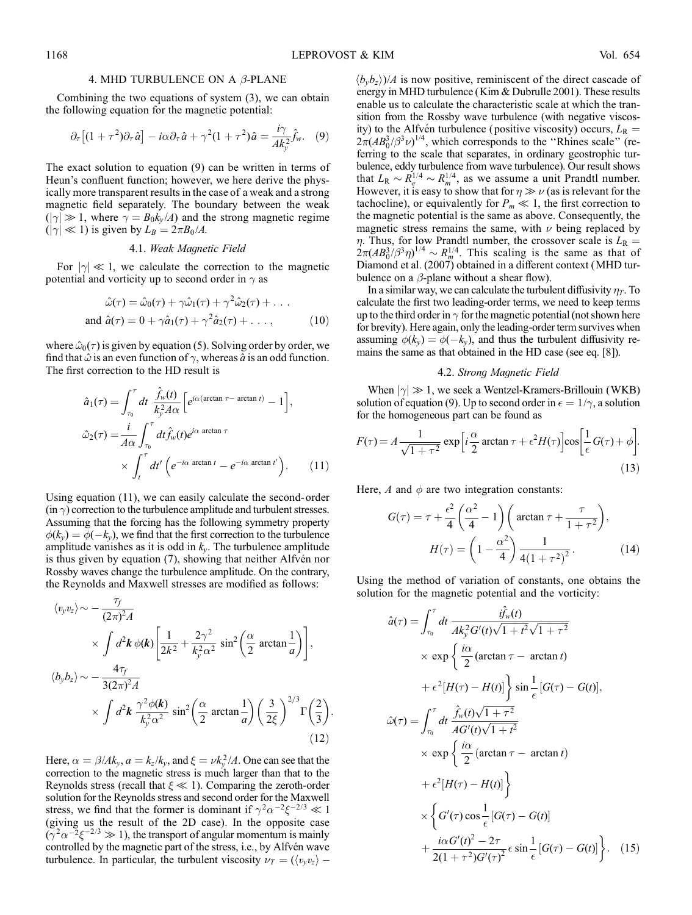#### 4. MHD TURBULENCE ON A  $\beta$ -PLANE

Combining the two equations of system (3), we can obtain the following equation for the magnetic potential:

$$
\partial_{\tau}\left[(1+\tau^2)\partial_{\tau}\hat{a}\right] - i\alpha\partial_{\tau}\hat{a} + \gamma^2(1+\tau^2)\hat{a} = \frac{i\gamma}{Ak_y^2}\hat{f}_w. \quad (9)
$$

The exact solution to equation (9) can be written in terms of Heun's confluent function; however, we here derive the physically more transparent results in the case of a weak and a strong magnetic field separately. The boundary between the weak  $(|\gamma| \gg 1$ , where  $\gamma = B_0 k_y / A$ ) and the strong magnetic regime  $(|\gamma| \ll 1)$  is given by  $L_B = 2\pi B_0 / A$ .

#### 4.1. Weak Magnetic Field

For  $|\gamma| \ll 1$ , we calculate the correction to the magnetic potential and vorticity up to second order in  $\gamma$  as

$$
\hat{\omega}(\tau) = \hat{\omega}_0(\tau) + \gamma \hat{\omega}_1(\tau) + \gamma^2 \hat{\omega}_2(\tau) + \dots
$$
  
and 
$$
\hat{a}(\tau) = 0 + \gamma \hat{a}_1(\tau) + \gamma^2 \hat{a}_2(\tau) + \dots,
$$
 (10)

where  $\hat{\omega}_0(\tau)$  is given by equation (5). Solving order by order, we find that  $\hat{\omega}$  is an even function of  $\gamma$ , whereas  $\hat{\alpha}$  is an odd function. The first correction to the HD result is

$$
\hat{a}_1(\tau) = \int_{\tau_0}^{\tau} dt \frac{\hat{f}_w(t)}{k_y^2 A \alpha} \left[ e^{i\alpha(\arctan \tau - \arctan t)} - 1 \right],
$$
  

$$
\hat{\omega}_2(\tau) = \frac{i}{A \alpha} \int_{\tau_0}^{\tau} dt \hat{f}_w(t) e^{i\alpha \arctan \tau} \times \int_t^{\tau} dt' \left( e^{-i\alpha \arctan t} - e^{-i\alpha \arctan t'} \right).
$$
 (11)

Using equation (11), we can easily calculate the second- order  $(in \gamma)$  correction to the turbulence amplitude and turbulent stresses. Assuming that the forcing has the following symmetry property  $\phi(k_v) = \phi(-k_v)$ , we find that the first correction to the turbulence amplitude vanishes as it is odd in  $k_y$ . The turbulence amplitude is thus given by equation (7), showing that neither Alfven nor Rossby waves change the turbulence amplitude. On the contrary, the Reynolds and Maxwell stresses are modified as follows:

$$
\langle v_y v_z \rangle \sim -\frac{\tau_f}{(2\pi)^2 A}
$$
  
\n
$$
\times \int d^2 \mathbf{k} \phi(\mathbf{k}) \left[ \frac{1}{2k^2} + \frac{2\gamma^2}{k_y^2 \alpha^2} \sin^2 \left( \frac{\alpha}{2} \arctan \frac{1}{a} \right) \right],
$$
  
\n
$$
\langle b_y b_z \rangle \sim -\frac{4\tau_f}{3(2\pi)^2 A}
$$
  
\n
$$
\times \int d^2 \mathbf{k} \frac{\gamma^2 \phi(\mathbf{k})}{k_y^2 \alpha^2} \sin^2 \left( \frac{\alpha}{2} \arctan \frac{1}{a} \right) \left( \frac{3}{2\xi} \right)^{2/3} \Gamma \left( \frac{2}{3} \right).
$$
  
\n(12)

Here,  $\alpha = \beta / A k_y$ ,  $a = k_z / k_y$ , and  $\xi = \nu k_y^2 / A$ . One can see that the correction to the magnetic stress is much larger than that to the Reynolds stress (recall that  $\xi \ll 1$ ). Comparing the zeroth-order solution for the Reynolds stress and second order for the Maxwell stress, we find that the former is dominant if  $\gamma^2 \alpha^{-2} \xi^{-2/3} \ll 1$ (giving us the result of the 2D case). In the opposite case  $(\gamma^2 \alpha^{-2} \xi^{-2/3} \gg 1)$ , the transport of angular momentum is mainly controlled by the magnetic part of the stress, i.e., by Alfvén wave turbulence. In particular, the turbulent viscosity  $\nu_T = (\langle v_y v_z \rangle - \langle v_y v_z \rangle)$   $\langle b_v b_z \rangle$ /*A* is now positive, reminiscent of the direct cascade of energy in MHD turbulence (Kim & Dubrulle 2001). These results enable us to calculate the characteristic scale at which the transition from the Rossby wave turbulence (with negative viscosity) to the Alfvén turbulence (positive viscosity) occurs,  $L_R$  =  $2\pi (AB_0^3/\beta^3 \nu)^{1/4}$ , which corresponds to the "Rhines scale" (referring to the scale that separates, in ordinary geostrophic turbulence, eddy turbulence from wave turbulence). Our result shows that  $L_{\rm R} \sim R_e^{1/4} \sim R_m^{1/4}$ , as we assume a unit Prandtl number. However, it is easy to show that for  $\eta \gg \nu$  (as is relevant for the tachocline), or equivalently for  $P_m \ll 1$ , the first correction to the magnetic potential is the same as above. Consequently, the magnetic stress remains the same, with  $\nu$  being replaced by  $\eta$ . Thus, for low Prandtl number, the crossover scale is  $L_R =$  $2\pi (AB_0^3/\beta^3\eta)^{1/4} \sim R_m^{1/4}$ . This scaling is the same as that of Diamond et al. (2007) obtained in a different context (MHD turbulence on a  $\beta$ -plane without a shear flow).

In a similar way, we can calculate the turbulent diffusivity  $\eta_T$ . To calculate the first two leading-order terms, we need to keep terms up to the third order in  $\gamma$  for the magnetic potential (not shown here for brevity). Here again, only the leading-order term survives when assuming  $\phi(k_v) = \phi(-k_v)$ , and thus the turbulent diffusivity remains the same as that obtained in the HD case (see eq. [8]).

#### 4.2. Strong Magnetic Field

When  $|\gamma| \gg 1$ , we seek a Wentzel-Kramers-Brillouin (WKB) solution of equation (9). Up to second order in  $\epsilon = 1/\gamma$ , a solution for the homogeneous part can be found as

$$
F(\tau) = A \frac{1}{\sqrt{1+\tau^2}} \exp\left[i\frac{\alpha}{2}\arctan\tau + \epsilon^2 H(\tau)\right] \cos\left[\frac{1}{\epsilon}G(\tau) + \phi\right].
$$
\n(13)

Here,  $A$  and  $\phi$  are two integration constants:

$$
G(\tau) = \tau + \frac{\epsilon^2}{4} \left( \frac{\alpha^2}{4} - 1 \right) \left( \arctan \tau + \frac{\tau}{1 + \tau^2} \right),
$$

$$
H(\tau) = \left( 1 - \frac{\alpha^2}{4} \right) \frac{1}{4(1 + \tau^2)^2}.
$$
(14)

Using the method of variation of constants, one obtains the solution for the magnetic potential and the vorticity:

$$
\hat{a}(\tau) = \int_{\tau_0}^{\tau} dt \frac{i\hat{f}_w(t)}{Ak_y^2 G'(t)\sqrt{1+t^2}\sqrt{1+\tau^2}}\n\times \exp\left\{\frac{i\alpha}{2}(\arctan\tau - \arctan t)\n+ \epsilon^2 [H(\tau) - H(t)]\right\} \sin\frac{1}{\epsilon} [G(\tau) - G(t)],
$$
\n
$$
\hat{\omega}(\tau) = \int_{\tau_0}^{\tau} dt \frac{\hat{f}_w(t)\sqrt{1+\tau^2}}{AG'(t)\sqrt{1+t^2}}\n\times \exp\left\{\frac{i\alpha}{2}(\arctan\tau - \arctan t)\n+ \epsilon^2 [H(\tau) - H(t)]\right\}\n\times \left\{G'(\tau)\cos\frac{1}{\epsilon} [G(\tau) - G(t)]\n+ \frac{i\alpha G'(t)^2 - 2\tau}{2(1+\tau^2)G'(\tau)^2} \epsilon \sin\frac{1}{\epsilon} [G(\tau) - G(t)]\right\}.\n(15)
$$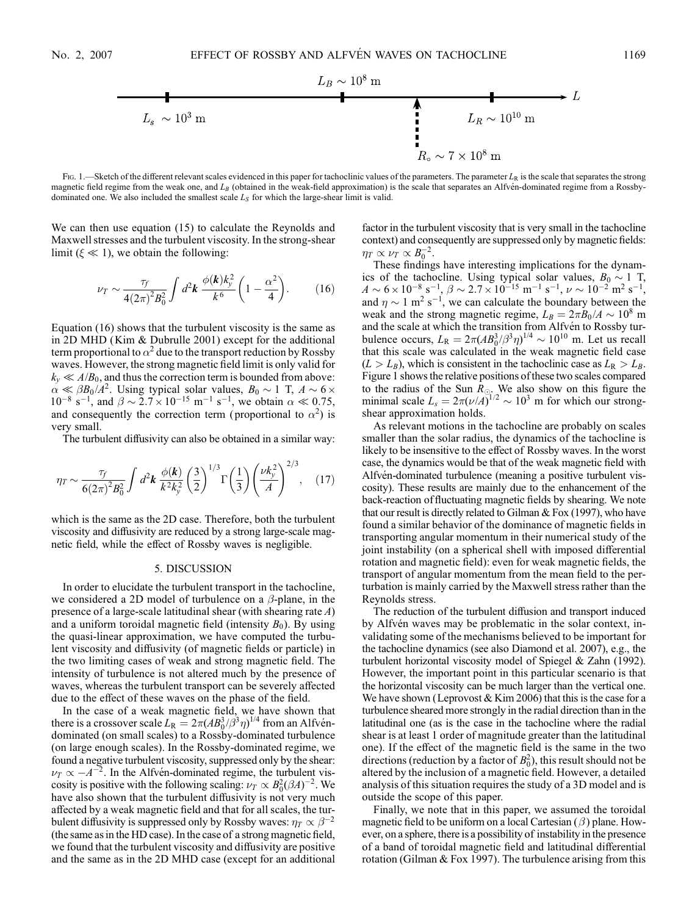

Fig. 1.—Sketch of the different relevant scales evidenced in this paper for tachoclinic values of the parameters. The parameter  $L_R$  is the scale that separates the strong magnetic field regime from the weak one, and  $L_B$  (obtained in the weak-field approximation) is the scale that separates an Alfvén-dominated regime from a Rossbydominated one. We also included the smallest scale  $L<sub>S</sub>$  for which the large-shear limit is valid.

We can then use equation (15) to calculate the Reynolds and Maxwell stresses and the turbulent viscosity. In the strong-shear limit ( $\xi \ll 1$ ), we obtain the following:

$$
\nu_T \sim \frac{\tau_f}{4(2\pi)^2 B_0^2} \int d^2 \mathbf{k} \, \frac{\phi(\mathbf{k}) k_y^2}{k^6} \left(1 - \frac{\alpha^2}{4}\right). \tag{16}
$$

Equation (16) shows that the turbulent viscosity is the same as in 2D MHD (Kim & Dubrulle 2001) except for the additional term proportional to  $\alpha^2$  due to the transport reduction by Rossby waves. However, the strong magnetic field limit is only valid for  $k_v \ll A/B_0$ , and thus the correction term is bounded from above:  $\alpha \ll \beta B_0 / A^2$ . Using typical solar values,  $B_0 \sim 1$  T,  $A \sim 6 \times$  $10^{-8}$  s<sup>-1</sup>, and  $\beta \sim 2.7 \times 10^{-15}$  m<sup>-1</sup> s<sup>-1</sup>, we obtain  $\alpha \ll 0.75$ , and consequently the correction term (proportional to  $\alpha^2$ ) is very small.

The turbulent diffusivity can also be obtained in a similar way:

$$
\eta_T \sim \frac{\tau_f}{6(2\pi)^2 B_0^2} \int d^2 \mathbf{k} \; \frac{\phi(\mathbf{k})}{k^2 k_y^2} \left(\frac{3}{2}\right)^{1/3} \Gamma\left(\frac{1}{3}\right) \left(\frac{\nu k_y^2}{A}\right)^{2/3}, \quad (17)
$$

which is the same as the 2D case. Therefore, both the turbulent viscosity and diffusivity are reduced by a strong large-scale magnetic field, while the effect of Rossby waves is negligible.

#### 5. DISCUSSION

In order to elucidate the turbulent transport in the tachocline, we considered a 2D model of turbulence on a  $\beta$ -plane, in the presence of a large-scale latitudinal shear (with shearing rate A) and a uniform toroidal magnetic field (intensity  $B_0$ ). By using the quasi-linear approximation, we have computed the turbulent viscosity and diffusivity (of magnetic fields or particle) in the two limiting cases of weak and strong magnetic field. The intensity of turbulence is not altered much by the presence of waves, whereas the turbulent transport can be severely affected due to the effect of these waves on the phase of the field.

In the case of a weak magnetic field, we have shown that there is a crossover scale  $L_{\rm R} = 2\pi (AB_0^3/\beta^3 \eta)^{1/4}$  from an Alfvéndominated (on small scales) to a Rossby-dominated turbulence (on large enough scales). In the Rossby-dominated regime, we found a negative turbulent viscosity, suppressed only by the shear:  $\nu_T \propto -A^{-2}$ . In the Alfven-dominated regime, the turbulent viscosity is positive with the following scaling:  $\nu_T \propto B_0^2 (\beta A)^{-2}$ . We have also shown that the turbulent diffusivity is not very much affected by a weak magnetic field and that for all scales, the turbulent diffusivity is suppressed only by Rossby waves:  $\eta_T \propto \beta^{-2}$ (the same as in the HD case). In the case of a strong magnetic field, we found that the turbulent viscosity and diffusivity are positive and the same as in the 2D MHD case (except for an additional factor in the turbulent viscosity that is very small in the tachocline context) and consequently are suppressed only by magnetic fields:  $\eta_T \propto \nu_T \propto B_0^{-2}.$ 

These findings have interesting implications for the dynamics of the tachocline. Using typical solar values,  $B_0 \sim 1$  T,  $A \sim 6 \times 10^{-8} \text{ s}^{-1}, \beta \sim 2.7 \times 10^{-15} \text{ m}^{-1} \text{ s}^{-1}, \nu \sim 10^{-2} \text{ m}^2 \text{ s}^{-1},$ and  $\eta \sim 1 \text{ m}^2 \text{ s}^{-1}$ , we can calculate the boundary between the weak and the strong magnetic regime,  $L_B = 2\pi B_0 / A \sim 10^8$  m and the scale at which the transition from Alfvén to Rossby turbulence occurs,  $L_{\rm R} = 2\pi (AB_0^3/\beta^3 \eta)^{1/4} \sim 10^{10}$  m. Let us recall that this scale was calculated in the weak magnetic field case  $(L > L_B)$ , which is consistent in the tachoclinic case as  $L_R > L_B$ . Figure 1 shows the relative positions of these two scales compared to the radius of the Sun  $R_{\odot}$ . We also show on this figure the minimal scale  $L_s = 2\pi (\nu / A)^{1/2} \sim 10^3$  m for which our strongshear approximation holds.

As relevant motions in the tachocline are probably on scales smaller than the solar radius, the dynamics of the tachocline is likely to be insensitive to the effect of Rossby waves. In the worst case, the dynamics would be that of the weak magnetic field with Alfvén-dominated turbulence (meaning a positive turbulent viscosity). These results are mainly due to the enhancement of the back-reaction of fluctuating magnetic fields by shearing. We note that our result is directly related to Gilman & Fox (1997), who have found a similar behavior of the dominance of magnetic fields in transporting angular momentum in their numerical study of the joint instability (on a spherical shell with imposed differential rotation and magnetic field): even for weak magnetic fields, the transport of angular momentum from the mean field to the perturbation is mainly carried by the Maxwell stress rather than the Reynolds stress.

The reduction of the turbulent diffusion and transport induced by Alfvén waves may be problematic in the solar context, invalidating some of the mechanisms believed to be important for the tachocline dynamics (see also Diamond et al. 2007), e.g., the turbulent horizontal viscosity model of Spiegel & Zahn (1992). However, the important point in this particular scenario is that the horizontal viscosity can be much larger than the vertical one. We have shown (Leprovost  $& Kim 2006$ ) that this is the case for a turbulence sheared more strongly in the radial direction than in the latitudinal one (as is the case in the tachocline where the radial shear is at least 1 order of magnitude greater than the latitudinal one). If the effect of the magnetic field is the same in the two directions (reduction by a factor of  $B_0^2$ ), this result should not be altered by the inclusion of a magnetic field. However, a detailed analysis of this situation requires the study of a 3D model and is outside the scope of this paper.

Finally, we note that in this paper, we assumed the toroidal magnetic field to be uniform on a local Cartesian  $(\beta)$  plane. However, on a sphere, there is a possibility of instability in the presence of a band of toroidal magnetic field and latitudinal differential rotation (Gilman & Fox 1997). The turbulence arising from this